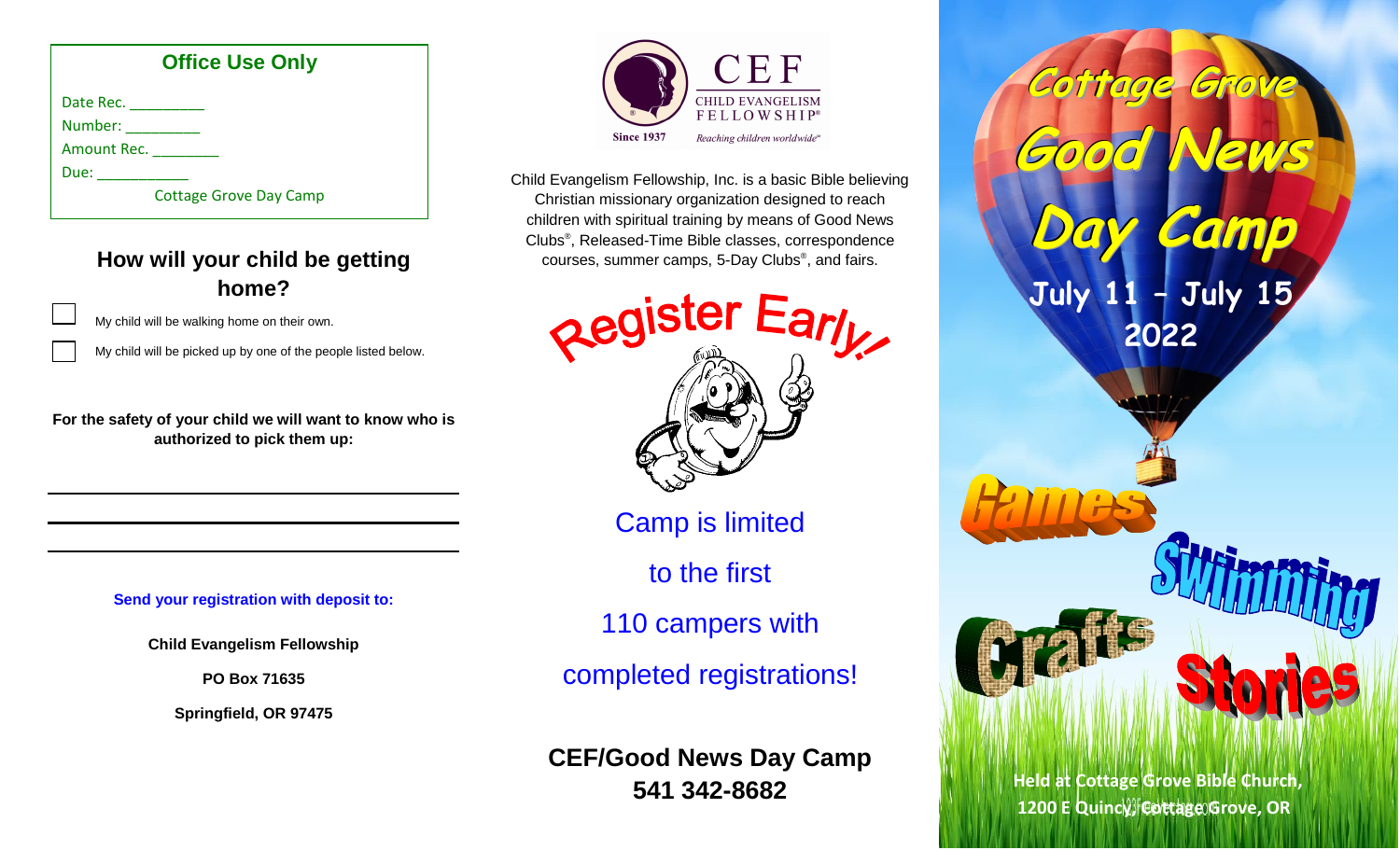#### **Office Use Only** Date Rec. \_\_\_\_\_\_\_\_\_\_\_ Number: \_\_\_\_\_\_\_\_ Amount Rec. \_\_\_\_\_\_\_\_ Due:  $\Box$ Cottage Grove Day Camp

### **How will your child be getting home?**

My child will be walking home on their own.

My child will be picked up by one of the people listed below.

**For the safety of your child we will want to know who is authorized to pick them up:**

**Send your registration with deposit to:**

**Child Evangelism Fellowship**

**PO Box 71635**

**Springfield, OR 97475**



Child Evangelism Fellowship, Inc. is a basic Bible believing Christian missionary organization designed to reach children with spiritual training by means of Good News Clubs® , Released-Time Bible classes, correspondence courses, summer camps, 5-Day Clubs® , and fairs.



Camp is limited

to the first

110 campers with

completed registrations!

**CEF/Good News Day Camp 541 342-8682**

**Cottage Grove Good News Day Camp July 11 – July 15 2022**

**Held at Cottage Grove Bible Church, 1200 E Quincy, Cottage Grove, OR**